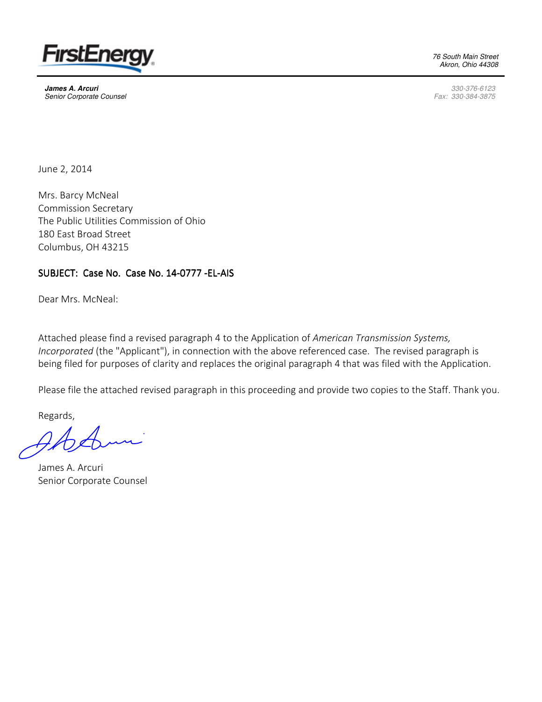

**James A. Arcuri**  Senior Corporate Counsel 76 South Main Street Akron, Ohio 44308

330-376-6123 Fax: 330-384-3875

June 2, 2014

Mrs. Barcy McNeal Commission Secretary The Public Utilities Commission of Ohio 180 East Broad Street Columbus, OH 43215

## SUBJECT: Case No. Case No. 14-0777 -EL-AIS

Dear Mrs. McNeal:

Attached please find a revised paragraph 4 to the Application of American Transmission Systems, Incorporated (the "Applicant"), in connection with the above referenced case. The revised paragraph is being filed for purposes of clarity and replaces the original paragraph 4 that was filed with the Application.

Please file the attached revised paragraph in this proceeding and provide two copies to the Staff. Thank you.

Regards,

James A. Arcuri Senior Corporate Counsel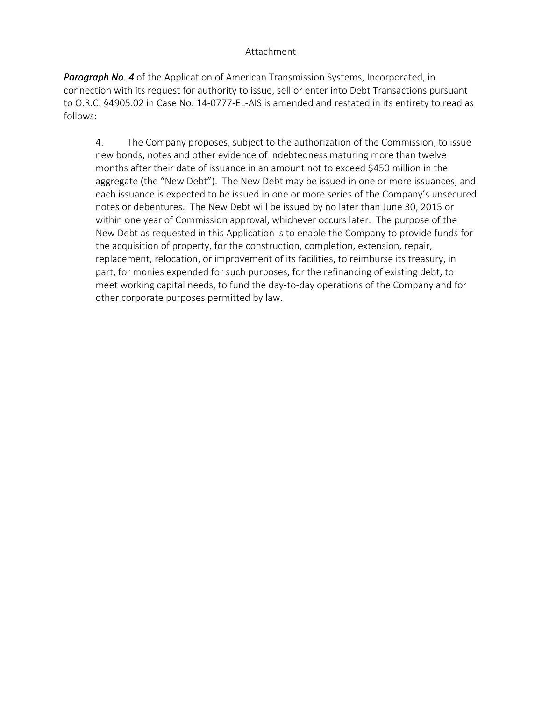## Attachment

**Paragraph No. 4** of the Application of American Transmission Systems, Incorporated, in connection with its request for authority to issue, sell or enter into Debt Transactions pursuant to O.R.C. §4905.02 in Case No. 14-0777-EL-AIS is amended and restated in its entirety to read as follows:

4. The Company proposes, subject to the authorization of the Commission, to issue new bonds, notes and other evidence of indebtedness maturing more than twelve months after their date of issuance in an amount not to exceed \$450 million in the aggregate (the "New Debt"). The New Debt may be issued in one or more issuances, and each issuance is expected to be issued in one or more series of the Company's unsecured notes or debentures. The New Debt will be issued by no later than June 30, 2015 or within one year of Commission approval, whichever occurs later. The purpose of the New Debt as requested in this Application is to enable the Company to provide funds for the acquisition of property, for the construction, completion, extension, repair, replacement, relocation, or improvement of its facilities, to reimburse its treasury, in part, for monies expended for such purposes, for the refinancing of existing debt, to meet working capital needs, to fund the day-to-day operations of the Company and for other corporate purposes permitted by law.